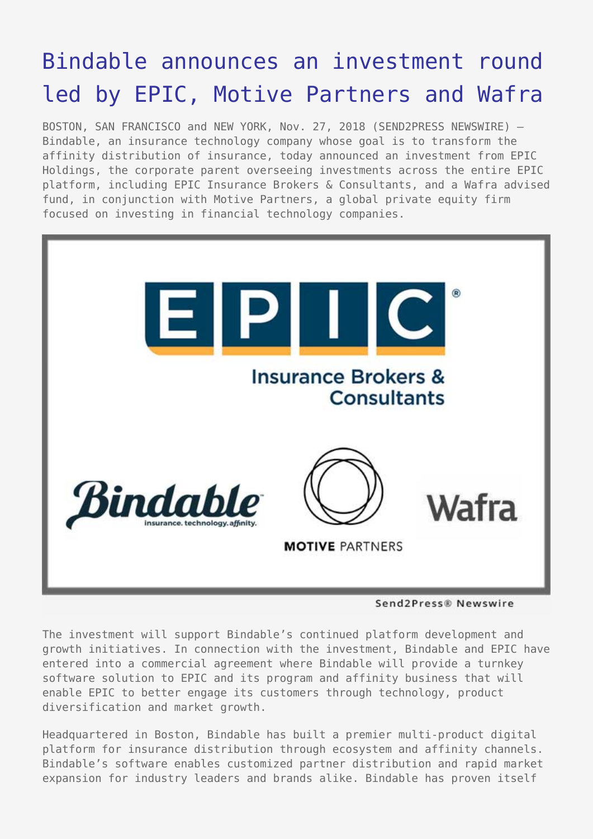# [Bindable announces an investment round](https://www.send2press.com/wire/bindable-announces-an-investment-round-led-by-epic-motive-partners-and-wafra/) [led by EPIC, Motive Partners and Wafra](https://www.send2press.com/wire/bindable-announces-an-investment-round-led-by-epic-motive-partners-and-wafra/)

BOSTON, SAN FRANCISCO and NEW YORK, Nov. 27, 2018 (SEND2PRESS NEWSWIRE) — Bindable, an insurance technology company whose goal is to transform the affinity distribution of insurance, today announced an investment from EPIC Holdings, the corporate parent overseeing investments across the entire EPIC platform, including EPIC Insurance Brokers & Consultants, and a Wafra advised fund, in conjunction with Motive Partners, a global private equity firm focused on investing in financial technology companies.



#### Send2Press® Newswire

The investment will support Bindable's continued platform development and growth initiatives. In connection with the investment, Bindable and EPIC have entered into a commercial agreement where Bindable will provide a turnkey software solution to EPIC and its program and affinity business that will enable EPIC to better engage its customers through technology, product diversification and market growth.

Headquartered in Boston, Bindable has built a premier multi-product digital platform for insurance distribution through ecosystem and affinity channels. Bindable's software enables customized partner distribution and rapid market expansion for industry leaders and brands alike. Bindable has proven itself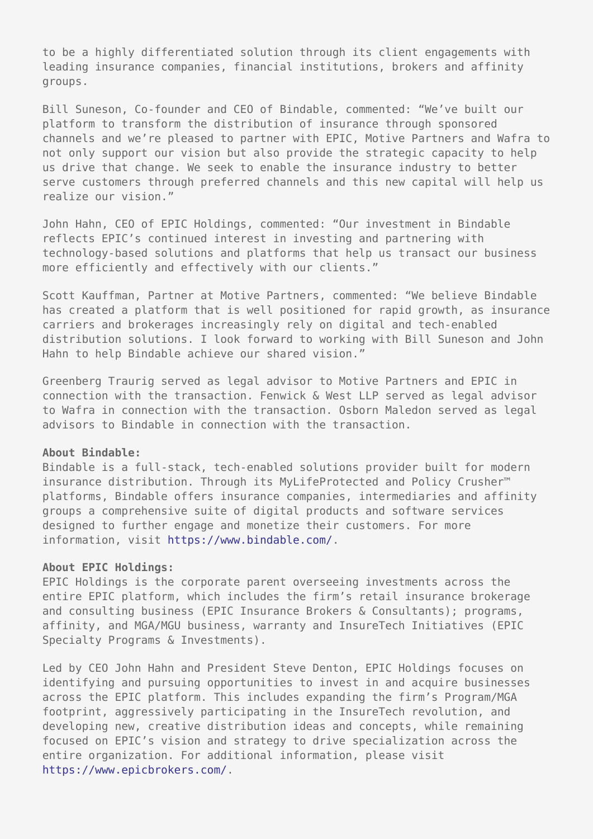to be a highly differentiated solution through its client engagements with leading insurance companies, financial institutions, brokers and affinity groups.

Bill Suneson, Co-founder and CEO of Bindable, commented: "We've built our platform to transform the distribution of insurance through sponsored channels and we're pleased to partner with EPIC, Motive Partners and Wafra to not only support our vision but also provide the strategic capacity to help us drive that change. We seek to enable the insurance industry to better serve customers through preferred channels and this new capital will help us realize our vision."

John Hahn, CEO of EPIC Holdings, commented: "Our investment in Bindable reflects EPIC's continued interest in investing and partnering with technology-based solutions and platforms that help us transact our business more efficiently and effectively with our clients."

Scott Kauffman, Partner at Motive Partners, commented: "We believe Bindable has created a platform that is well positioned for rapid growth, as insurance carriers and brokerages increasingly rely on digital and tech-enabled distribution solutions. I look forward to working with Bill Suneson and John Hahn to help Bindable achieve our shared vision."

Greenberg Traurig served as legal advisor to Motive Partners and EPIC in connection with the transaction. Fenwick & West LLP served as legal advisor to Wafra in connection with the transaction. Osborn Maledon served as legal advisors to Bindable in connection with the transaction.

#### **About Bindable:**

Bindable is a full-stack, tech-enabled solutions provider built for modern insurance distribution. Through its MyLifeProtected and Policy Crusher™ platforms, Bindable offers insurance companies, intermediaries and affinity groups a comprehensive suite of digital products and software services designed to further engage and monetize their customers. For more information, visit [https://www.bindable.com/.](https://www.bindable.com/)

#### **About EPIC Holdings:**

EPIC Holdings is the corporate parent overseeing investments across the entire EPIC platform, which includes the firm's retail insurance brokerage and consulting business (EPIC Insurance Brokers & Consultants); programs, affinity, and MGA/MGU business, warranty and InsureTech Initiatives (EPIC Specialty Programs & Investments).

Led by CEO John Hahn and President Steve Denton, EPIC Holdings focuses on identifying and pursuing opportunities to invest in and acquire businesses across the EPIC platform. This includes expanding the firm's Program/MGA footprint, aggressively participating in the InsureTech revolution, and developing new, creative distribution ideas and concepts, while remaining focused on EPIC's vision and strategy to drive specialization across the entire organization. For additional information, please visit [https://www.epicbrokers.com/.](https://www.epicbrokers.com/)